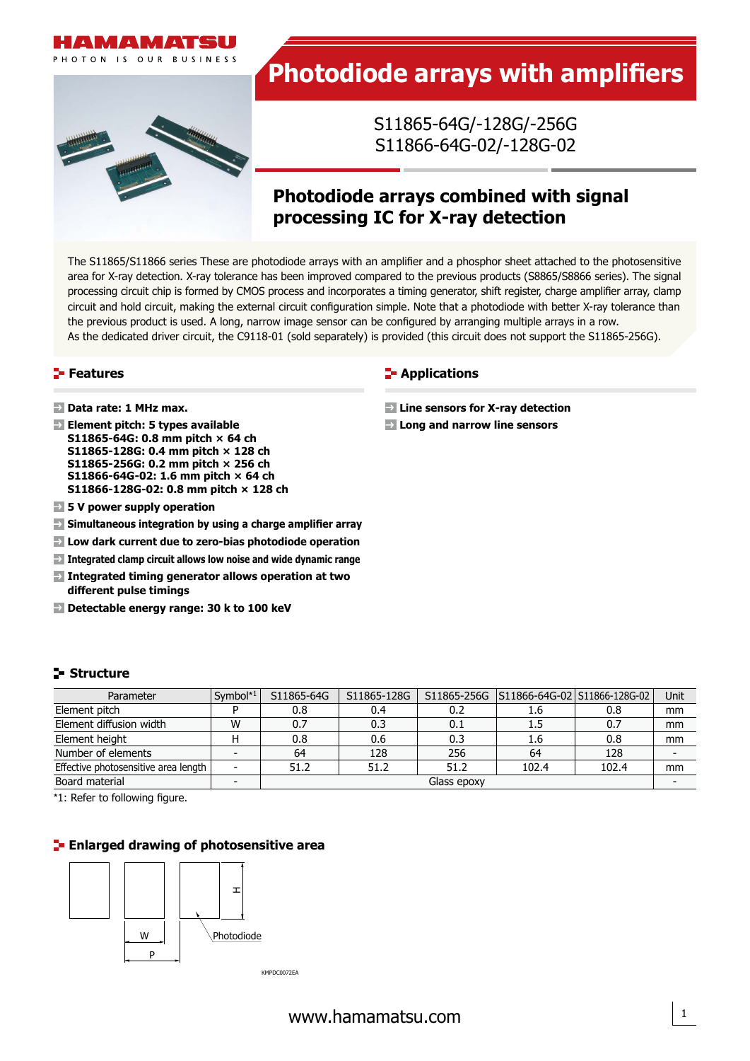



# **Photodiode arrays with amplifiers**

S11865-64G/-128G/-256G S11866-64G-02/-128G-02

# **Photodiode arrays combined with signal processing IC for X-ray detection**

The S11865/S11866 series These are photodiode arrays with an amplifier and a phosphor sheet attached to the photosensitive area for X-ray detection. X-ray tolerance has been improved compared to the previous products (S8865/S8866 series). The signal processing circuit chip is formed by CMOS process and incorporates a timing generator, shift register, charge amplifier array, clamp circuit and hold circuit, making the external circuit configuration simple. Note that a photodiode with better X-ray tolerance than the previous product is used. A long, narrow image sensor can be configured by arranging multiple arrays in a row. As the dedicated driver circuit, the C9118-01 (sold separately) is provided (this circuit does not support the S11865-256G).

#### **Features**

- **Data rate: 1 MHz max.**
- **Element pitch: 5 types available S11865-64G: 0.8 mm pitch × 64 ch S11865-128G: 0.4 mm pitch × 128 ch S11865-256G: 0.2 mm pitch × 256 ch S11866-64G-02: 1.6 mm pitch × 64 ch S11866-128G-02: 0.8 mm pitch × 128 ch**
- **5 V power supply operation**
- **Simultaneous integration by using a charge amplifier array**
- **Low dark current due to zero-bias photodiode operation**
- **Integrated clamp circuit allows low noise and wide dynamic range**
- **Integrated timing generator allows operation at two different pulse timings**
- **Enlarge Detectable energy range: 30 k to 100 keV** (S6493/S6494/S8865 series, S8866-64/-128, S8866-64G2/-128G2)

#### **Structure**

| Parameter                            | Symbol $*1$ | S11865-64G  | S11865-128G |      | S11865-256G   S11866-64G-02   S11866-128G-02 |       | Unit |
|--------------------------------------|-------------|-------------|-------------|------|----------------------------------------------|-------|------|
| Element pitch                        |             | 0.8         | 0.4         | 0.2  | 1.6                                          | 0.8   | mm   |
| Element diffusion width              | W           | 0.7         | 0.3         | 0.1  | 1.5                                          | 0.7   | mm   |
| Element height                       |             | 0.8         | 0.6         | 0.3  | 1.6                                          | 0.8   | mm   |
| Number of elements                   |             | 64          | 128         | 256  | 64                                           | 128   |      |
| Effective photosensitive area length |             | 51.2        | 51.2        | 51.2 | 102.4                                        | 102.4 | mm   |
| Board material                       |             | Glass epoxy |             |      |                                              |       |      |

\*1: Refer to following figure.

#### **Enlarged drawing of photosensitive area**



# **E-** Applications

- **Line sensors for X-ray detection**
- **Long and narrow line sensors**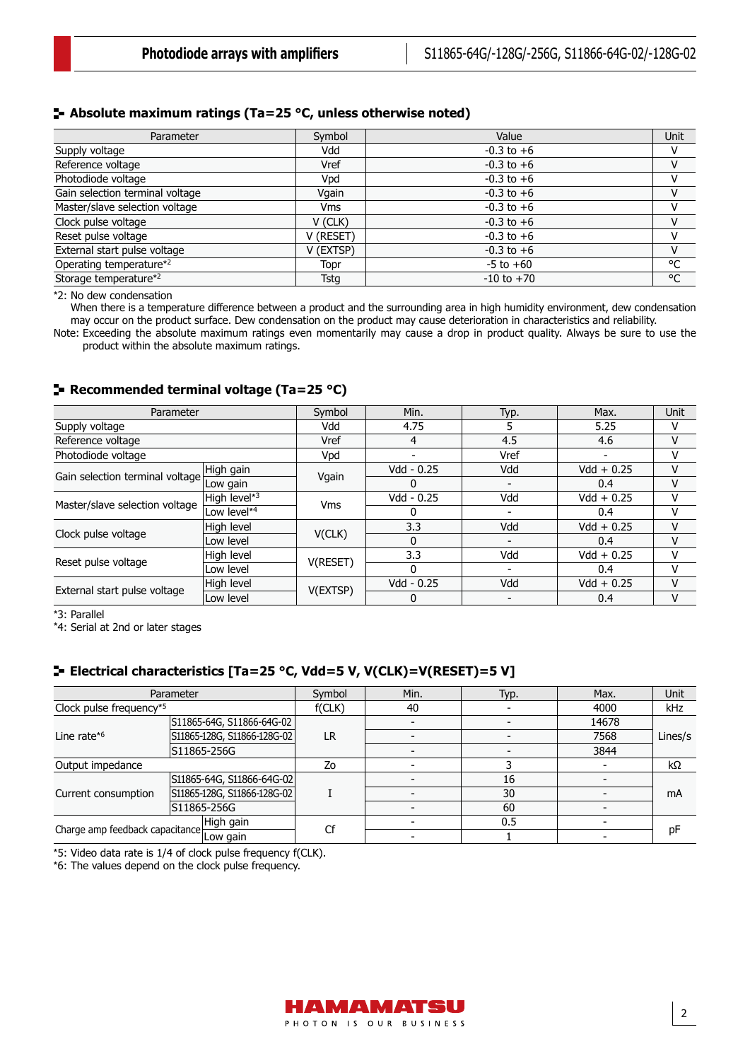#### **Absolute maximum ratings (Ta=25 °C, unless otherwise noted)**

| Parameter                         | Symbol     | Value          | Unit |
|-----------------------------------|------------|----------------|------|
| Supply voltage                    | Vdd        | $-0.3$ to $+6$ |      |
| Reference voltage                 | Vref       | $-0.3$ to $+6$ |      |
| Photodiode voltage                | Vpd        | $-0.3$ to $+6$ |      |
| Gain selection terminal voltage   | Vgain      | $-0.3$ to $+6$ |      |
| Master/slave selection voltage    | <b>Vms</b> | $-0.3$ to $+6$ |      |
| Clock pulse voltage               | V (CLK)    | $-0.3$ to $+6$ |      |
| Reset pulse voltage               | V (RESET)  | $-0.3$ to $+6$ |      |
| External start pulse voltage      | V (EXTSP)  | $-0.3$ to $+6$ | v    |
| Operating temperature*2           | Topr       | $-5$ to $+60$  | °C   |
| Storage temperature* <sup>2</sup> | Tstg       | $-10$ to $+70$ | °C   |

\*2: No dew condensation

When there is a temperature difference between a product and the surrounding area in high humidity environment, dew condensation may occur on the product surface. Dew condensation on the product may cause deterioration in characteristics and reliability.

Note: Exceeding the absolute maximum ratings even momentarily may cause a drop in product quality. Always be sure to use the product within the absolute maximum ratings.

#### **Recommended terminal voltage (Ta=25 °C)**

| Parameter                       |                         | Symbol     | Min.           | Typ. | Max.          | Unit |
|---------------------------------|-------------------------|------------|----------------|------|---------------|------|
| Supply voltage                  |                         | Vdd        | 4.75           |      | 5.25          | v    |
| Reference voltage               |                         | Vref       | $\overline{4}$ | 4.5  | 4.6           | v    |
| Photodiode voltage              |                         | Vpd        |                | Vref |               | v    |
| Gain selection terminal voltage | High gain               | Vgain      | Vdd - 0.25     | Vdd  | $Vdd + 0.25$  | v    |
|                                 | Low gain                |            | U              |      | $0.4^{\circ}$ | v    |
|                                 | High level*3            | <b>Vms</b> | Vdd - 0.25     | Vdd  | $Vdd + 0.25$  | v    |
| Master/slave selection voltage  | Low level* <sup>4</sup> |            |                |      | 0.4           | v    |
| Clock pulse voltage             | High level              | V(CLK)     | 3.3            | Vdd  | $Vdd + 0.25$  | v    |
|                                 | Low level               |            | 0              |      | 0.4           | v    |
|                                 | High level              |            | 3.3            | Vdd  | $Vdd + 0.25$  | v    |
| Reset pulse voltage             | Low level               | V(RESET)   | 0              |      | $0.4^{\circ}$ | ٧    |
|                                 | High level              |            | Vdd - 0.25     | Vdd  | $Vdd + 0.25$  | v    |
| External start pulse voltage    | Low level               | V(EXTSP)   |                |      | 0.4           | v    |

\*3: Parallel

\*4: Serial at 2nd or later stages

### **Electrical characteristics [Ta=25 °C, Vdd=5 V, V(CLK)=V(RESET)=5 V]**

|                                                                                   | Parameter                   | Symbol | Min. | Typ. | Max.  | Unit    |  |
|-----------------------------------------------------------------------------------|-----------------------------|--------|------|------|-------|---------|--|
| Clock pulse frequency*5                                                           |                             | f(CLK) | 40   |      | 4000  | kHz     |  |
|                                                                                   | S11865-64G, S11866-64G-02   |        |      |      | 14678 |         |  |
| Line rate $*6$                                                                    | S11865-128G, S11866-128G-02 | LR     |      |      | 7568  | Lines/s |  |
|                                                                                   | S11865-256G                 |        |      |      | 3844  |         |  |
| Output impedance                                                                  |                             | Zo     |      |      |       | kΩ      |  |
|                                                                                   | S11865-64G, S11866-64G-02   |        |      | 16   |       |         |  |
| Current consumption                                                               | S11865-128G, S11866-128G-02 |        |      | 30   |       | mA      |  |
|                                                                                   | S11865-256G                 |        |      | 60   |       |         |  |
| High gain<br>Charge amp feedback capacitance Live Charge amp feedback capacitance |                             | Cf     |      | 0.5  |       | рF      |  |
|                                                                                   |                             |        |      |      |       |         |  |

\*5: Video data rate is 1/4 of clock pulse frequency f(CLK).

\*6: The values depend on the clock pulse frequency.

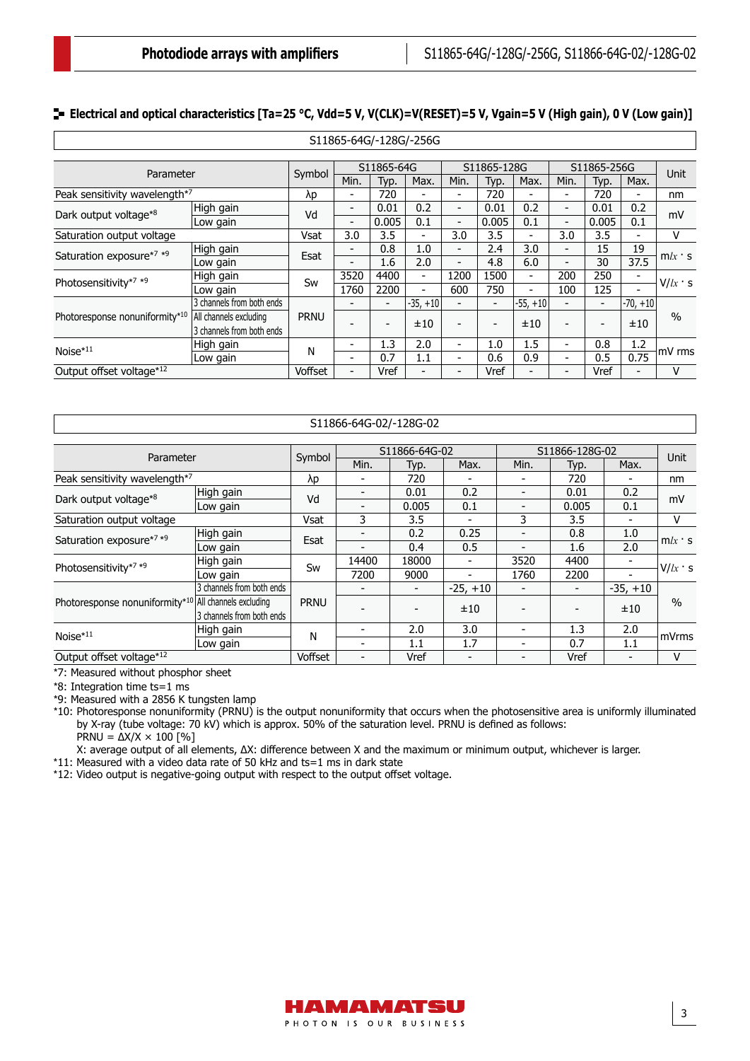### **E** Electrical and optical characteristics [Ta=25 °C, Vdd=5 V, V(CLK)=V(RESET)=5 V, Vgain=5 V (High gain), 0 V (Low gain)]

|                                |                           |             |                          |                          | S11865-64G/-128G/-256G   |                          |                          |                          |                          |                          |                          |           |
|--------------------------------|---------------------------|-------------|--------------------------|--------------------------|--------------------------|--------------------------|--------------------------|--------------------------|--------------------------|--------------------------|--------------------------|-----------|
|                                |                           |             |                          |                          |                          |                          |                          |                          |                          |                          |                          |           |
| Parameter                      |                           | Symbol      |                          | S11865-64G               |                          |                          | S11865-128G              |                          |                          | S11865-256G              |                          | Unit      |
|                                |                           |             | Min.                     | Typ.                     | Max.                     | Min.                     | Typ.                     | Max.                     | Min.                     | Typ.                     | Max.                     |           |
| Peak sensitivity wavelength*7  |                           | λp          | -                        | 720                      |                          | $\overline{\phantom{0}}$ | 720                      |                          | $\overline{\phantom{0}}$ | 720                      | -                        | nm        |
| Dark output voltage*8          | High gain                 | Vd          | $\overline{\phantom{a}}$ | 0.01                     | 0.2                      | -                        | 0.01                     | 0.2                      | $\overline{\phantom{a}}$ | 0.01                     | 0.2                      | mV        |
|                                | Low gain                  |             | $\overline{\phantom{0}}$ | 0.005                    | 0.1                      | -                        | 0.005                    | 0.1                      | $\overline{\phantom{a}}$ | 0.005                    | 0.1                      |           |
| Saturation output voltage      |                           | Vsat        | 3.0                      | 3.5                      |                          | 3.0                      | 3.5                      | ۰                        | 3.0                      | 3.5                      |                          | ٧         |
| Saturation exposure*7 *9       | High gain                 | Esat        | $\overline{a}$           | 0.8                      | 1.0                      | -                        | 2.4                      | 3.0                      |                          | 15                       | 19                       | $m/x$ s   |
|                                | Low gain                  |             |                          | 1.6                      | 2.0                      | -                        | 4.8                      | 6.0                      |                          | 30                       | 37.5                     |           |
| Photosensitivity*7 *9          | High gain                 | Sw          | 3520                     | 4400                     | -                        | 1200                     | 1500                     | $\overline{\phantom{0}}$ | 200                      | 250                      | -                        | $V/lx$ 's |
|                                | Low gain                  |             | 1760                     | 2200                     | $\blacksquare$           | 600                      | 750                      | $\overline{\phantom{0}}$ | 100                      | 125                      | ٠                        |           |
|                                | 3 channels from both ends |             |                          | $\overline{\phantom{0}}$ | $-35, +10$               | ۰                        | $\blacksquare$           | $-55, +10$               |                          | $\overline{\phantom{0}}$ | $-70, +10$               |           |
| Photoresponse nonuniformity*10 | All channels excluding    | <b>PRNU</b> |                          |                          | ±10                      | $\overline{a}$           | $\overline{\phantom{0}}$ | ±10                      |                          | -                        | ±10                      | $\%$      |
|                                | 3 channels from both ends |             |                          |                          |                          |                          |                          |                          |                          |                          |                          |           |
| $Noise*11$                     | High gain                 | Ν           | $\overline{\phantom{0}}$ | 1.3                      | 2.0                      | -                        | 1.0                      | 1.5                      | $\overline{\phantom{a}}$ | 0.8                      | 1.2                      | mV rms    |
|                                | Low gain                  |             | ۰.                       | 0.7                      | 1.1                      | -                        | 0.6                      | 0.9                      | $\overline{\phantom{a}}$ | 0.5                      | 0.75                     |           |
| Output offset voltage*12       |                           | Voffset     | $\overline{\phantom{a}}$ | Vref                     | $\overline{\phantom{0}}$ | ۰                        | Vref                     | $\overline{\phantom{a}}$ | $\overline{\phantom{0}}$ | Vref                     | $\overline{\phantom{0}}$ | v         |

| S11866-64G-02/-128G-02 |  |
|------------------------|--|
|------------------------|--|

|                                                          |                           |                | S11866-64G-02 |                | S11866-128G-02           |      |       |                          |               |
|----------------------------------------------------------|---------------------------|----------------|---------------|----------------|--------------------------|------|-------|--------------------------|---------------|
| Parameter                                                |                           | Symbol         | Min.          | Typ.           | Max.                     | Min. | Typ.  | Max.                     | Unit          |
| Peak sensitivity wavelength*7                            |                           | λp             |               | 720            |                          |      | 720   |                          | nm            |
| Dark output voltage*8                                    | High gain                 | Vd             |               | 0.01           | 0.2                      |      | 0.01  | 0.2                      | mV            |
|                                                          | Low gain                  |                |               | 0.005          | 0.1                      |      | 0.005 | 0.1                      |               |
| Saturation output voltage                                |                           | Vsat           | 3             | 3.5            |                          | 3    | 3.5   | -                        | v             |
| Saturation exposure*7 *9                                 | High gain                 | Esat           |               | 0.2            | 0.25                     |      | 0.8   | 1.0                      | $m/x$ s       |
|                                                          | Low gain                  |                |               | 0.4            | 0.5                      |      | 1.6   | 2.0                      |               |
| Photosensitivity*7 *9                                    | High gain                 |                | 14400         | 18000          | $\overline{\phantom{0}}$ | 3520 | 4400  | $\overline{\phantom{0}}$ | $V/k \cdot s$ |
|                                                          | Low gain                  | Sw             | 7200          | 9000           |                          | 1760 | 2200  |                          |               |
|                                                          | 3 channels from both ends |                |               | $\blacksquare$ | $-25, +10$               |      |       | $-35. +10$               |               |
| Photoresponse nonuniformity $*10$ All channels excluding |                           | <b>PRNU</b>    |               |                | ±10                      |      |       | ±10                      | $\frac{0}{0}$ |
|                                                          | 3 channels from both ends |                |               |                |                          |      |       |                          |               |
| Noise*11                                                 | High gain                 | N              |               | 2.0            | 3.0                      |      | 1.3   | 2.0                      | mVrms         |
|                                                          | Low gain                  |                |               | 1.1            | 1.7                      |      | 0.7   | 1.1                      |               |
| Output offset voltage*12                                 |                           | <b>Voffset</b> | Ξ.            | Vref           |                          |      | Vref  |                          | v             |

\*7: Measured without phosphor sheet

\*8: Integration time ts=1 ms

\*9: Measured with a 2856 K tungsten lamp

\*10: Photoresponse nonuniformity (PRNU) is the output nonuniformity that occurs when the photosensitive area is uniformly illuminated by X-ray (tube voltage: 70 kV) which is approx. 50% of the saturation level. PRNU is defined as follows:  $PRNU = \Delta X/X \times 100$  [%]

X: average output of all elements, ∆X: difference between X and the maximum or minimum output, whichever is larger.

\*11: Measured with a video data rate of 50 kHz and ts=1 ms in dark state

\*12: Video output is negative-going output with respect to the output offset voltage.

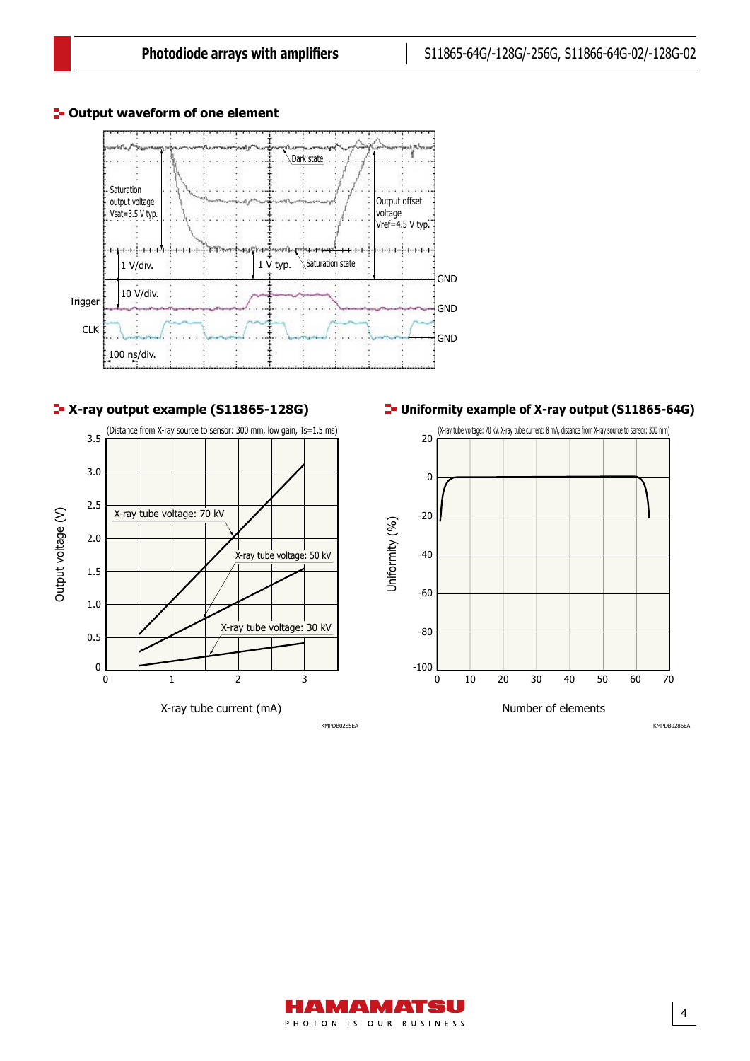

#### **<sup>1</sup>- Output waveform of one element**





X-ray tube current (mA)

**Uniformity example of X-ray output (S11865-64G)**



KMPDB0286EA



KMPDB0285EA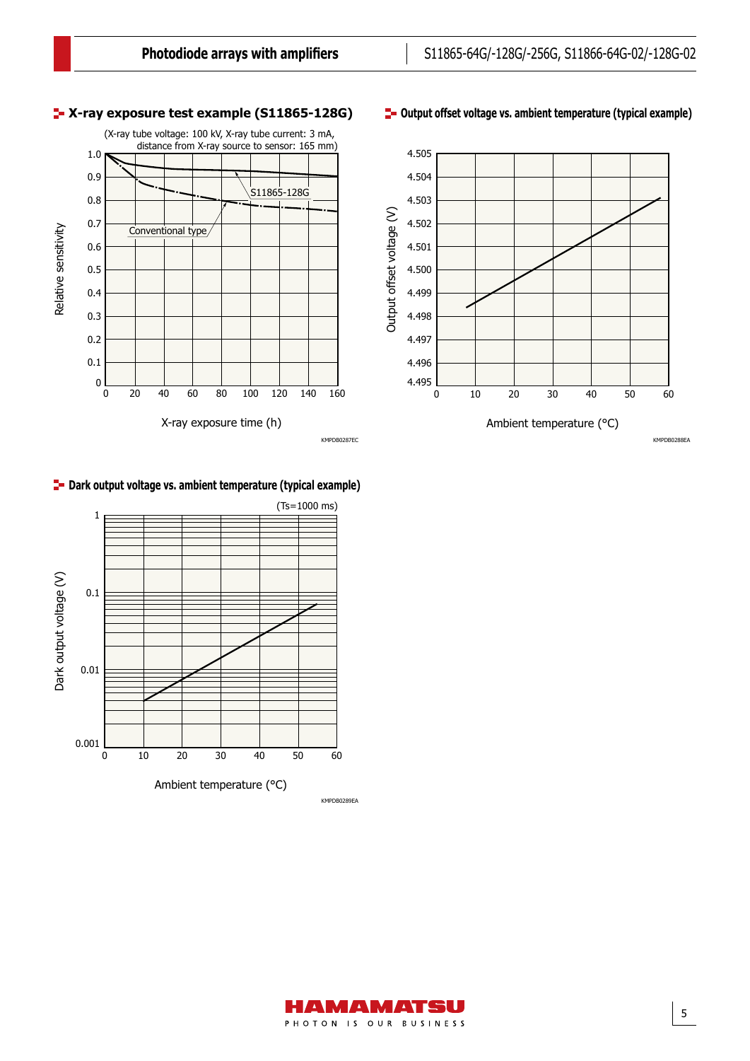#### **X-ray exposure test example (S11865-128G)**







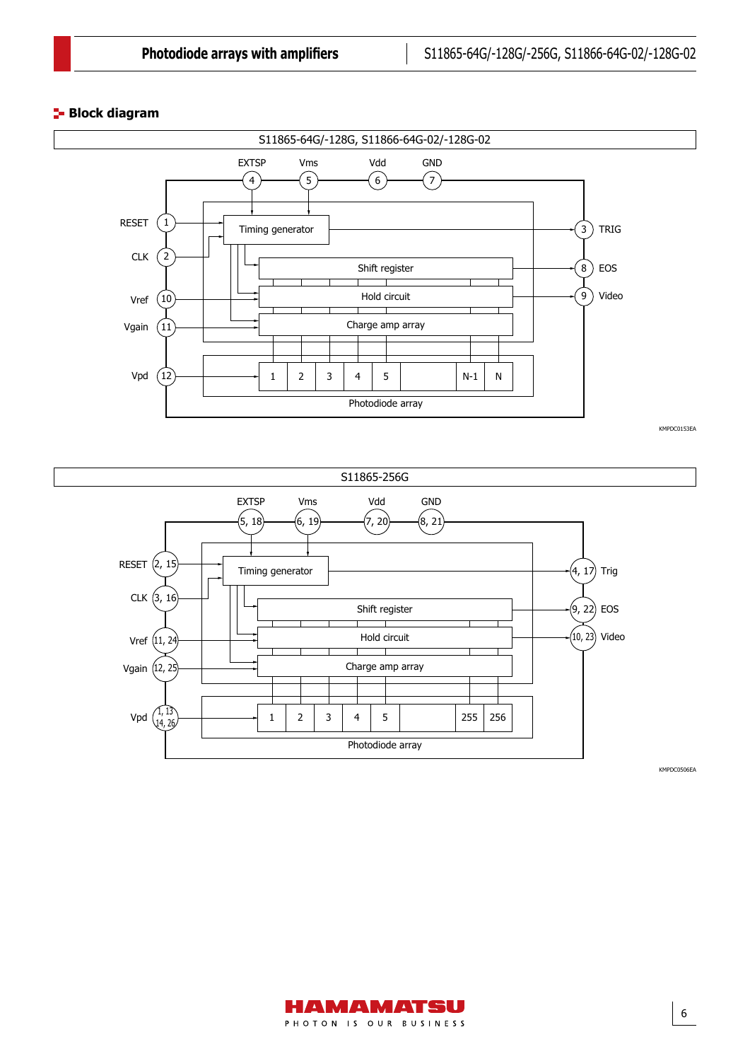#### **Block diagram**



KMPDC0153EA

6



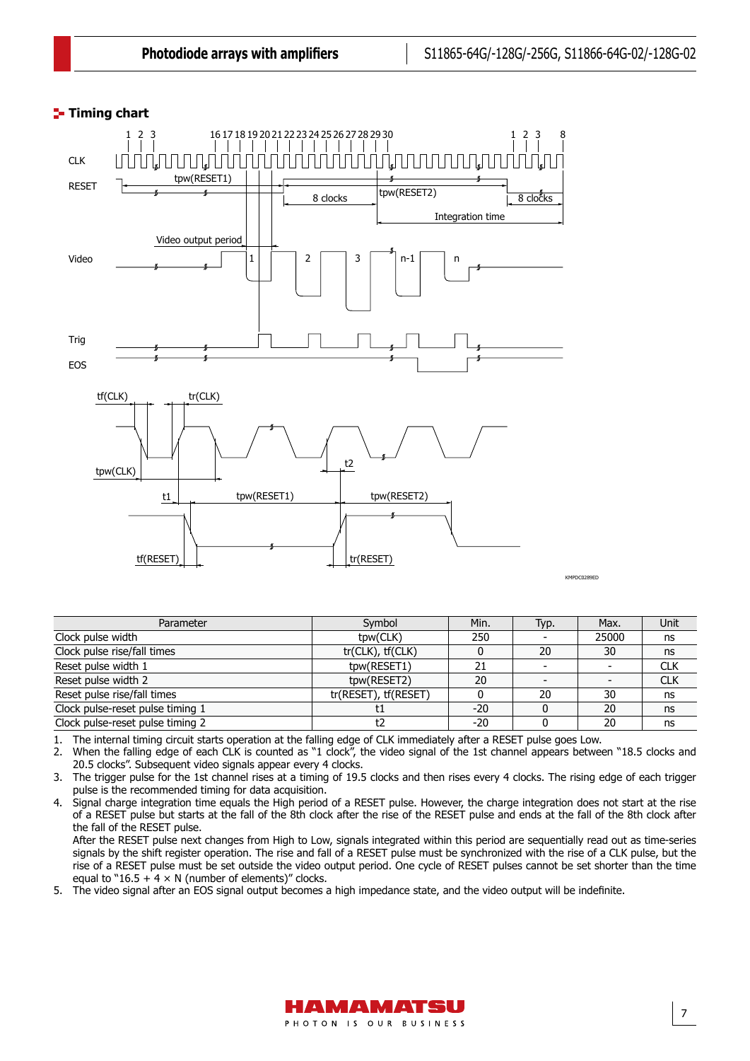# **Timing chart** Timing chart



Parameter Symbol Min. Typ. Max. Unit Clock pulse width the control of the clock pulse width the clock pulse width the clock pulse width the clock pulse width the clock pulse width the clock pulse width the clock pulse width the clock pulse width the clock pul Clock pulse rise/fall times tr(CLK), tf(CLK) 0 20 30 ns Reset pulse width 1 tpw(RESET1) 21 - CLK<br>Reset pulse width 2 tpw(RESET2) 20 - CLK Reset pulse width 2 the control of the control of the the the two texts are the control of the control of the control of the texts of club control of the control of the texts of control of the texts of control of the texts Reset pulse rise/fall times<br>
Clock pulse-reset pulse timing 1 to the set of the set of the set of the set of the set of the set of the set of the set of the set of the set of the set of the set of the set of the set of the Clock pulse-reset pulse timing 1 t1 -20 0 20 ns Clock pulse-reset pulse timing 2 t2 t2 -20 0 20 ns

1. The internal timing circuit starts operation at the falling edge of CLK immediately after a RESET pulse goes Low.

2. When the falling edge of each CLK is counted as "1 clock", the video signal of the 1st channel appears between "18.5 clocks and 20.5 clocks". Subsequent video signals appear every 4 clocks.

3. The trigger pulse for the 1st channel rises at a timing of 19.5 clocks and then rises every 4 clocks. The rising edge of each trigger pulse is the recommended timing for data acquisition.

4. Signal charge integration time equals the High period of a RESET pulse. However, the charge integration does not start at the rise of a RESET pulse but starts at the fall of the 8th clock after the rise of the RESET pulse and ends at the fall of the 8th clock after the fall of the RESET pulse.

After the RESET pulse next changes from High to Low, signals integrated within this period are sequentially read out as time-series signals by the shift register operation. The rise and fall of a RESET pulse must be synchronized with the rise of a CLK pulse, but the rise of a RESET pulse must be set outside the video output period. One cycle of RESET pulses cannot be set shorter than the time equal to "16.5 + 4  $\times$  N (number of elements)" clocks.

5. The video signal after an EOS signal output becomes a high impedance state, and the video output will be indefinite.

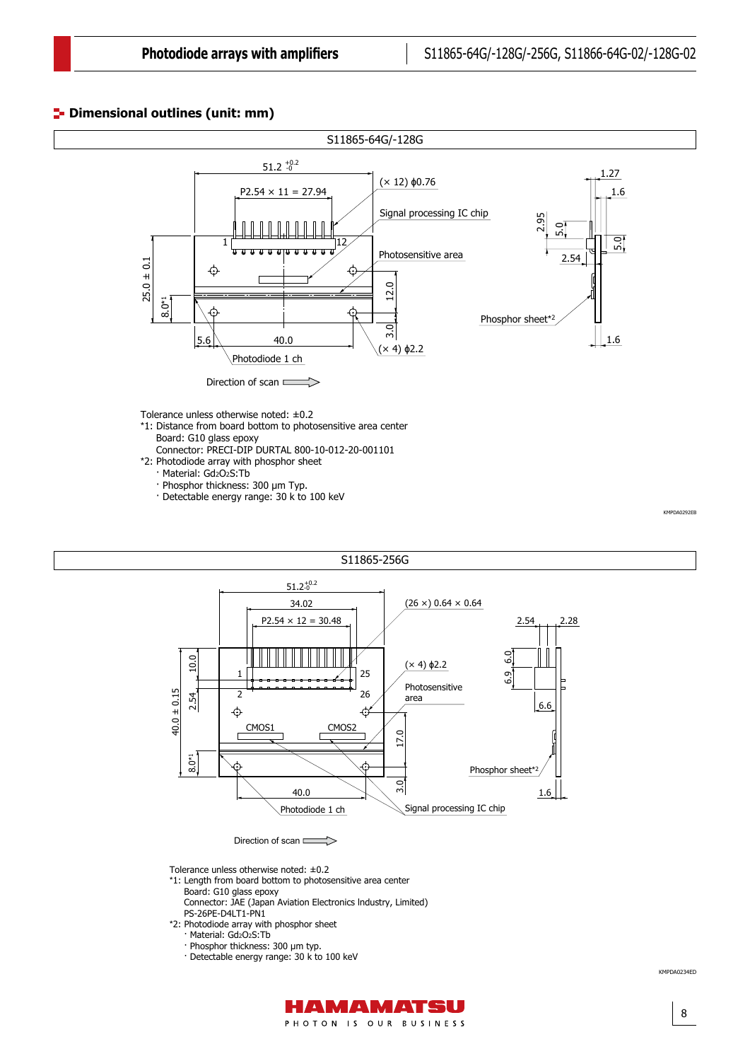#### Dimensional outlines (unit: mm)



- \*2: Photodiode array with phosphor sheet
	- · Material: Gd2O2S:Tb
	- · Phosphor thickness: 300 µm Typ.
	- · Detectable energy range: 30 k to 100 keV

S11865-256G*ŅŪŮŦůŴŪŰůŢŭġŰŶŵŭŪůŦ* (S8865-256G, *ŶůŪŵ*: mm)  $51.2^{+0.2}_{-0}$  $(26 \times) 0.64 \times 0.64$ 34.02  $P2.54 \times 12 = 30.48$  $2.54$  2.28 6.9 6.0 10.0 (× 4) ϕ2.2 25 1 Photosensitive  $40.0 \pm 0.15$ 40.0 ± 0.15  $\overline{2}$ 26 2.54 area 6.6  $\hat{\mathcal{O}}$  $\hat{\mathcal{O}}$ CMOS1 CMOS2 17.0 8.0\*1 Phosphor sheet\*2 3.0 40.0 1.6 Signal processing IC chip Photodiode 1 ch

Direction of scan

Tolerance unless otherwise noted: ±0.2

- \*1: Length from board bottom to photosensitive area center Board: G10 glass epoxy
	- Connector: JAE (Japan Aviation Electronics lndustry, Limited) PS-26PE-D4LT1-PN1
- \*2: Photodiode array with phosphor sheet
	- · Material: Gd2O2S:Tb
	- · Phosphor thickness: 300 µm typ.
	- · Detectable energy range: 30 k to 100 keV



8

KMPDA0234ED

KMPDA0292EB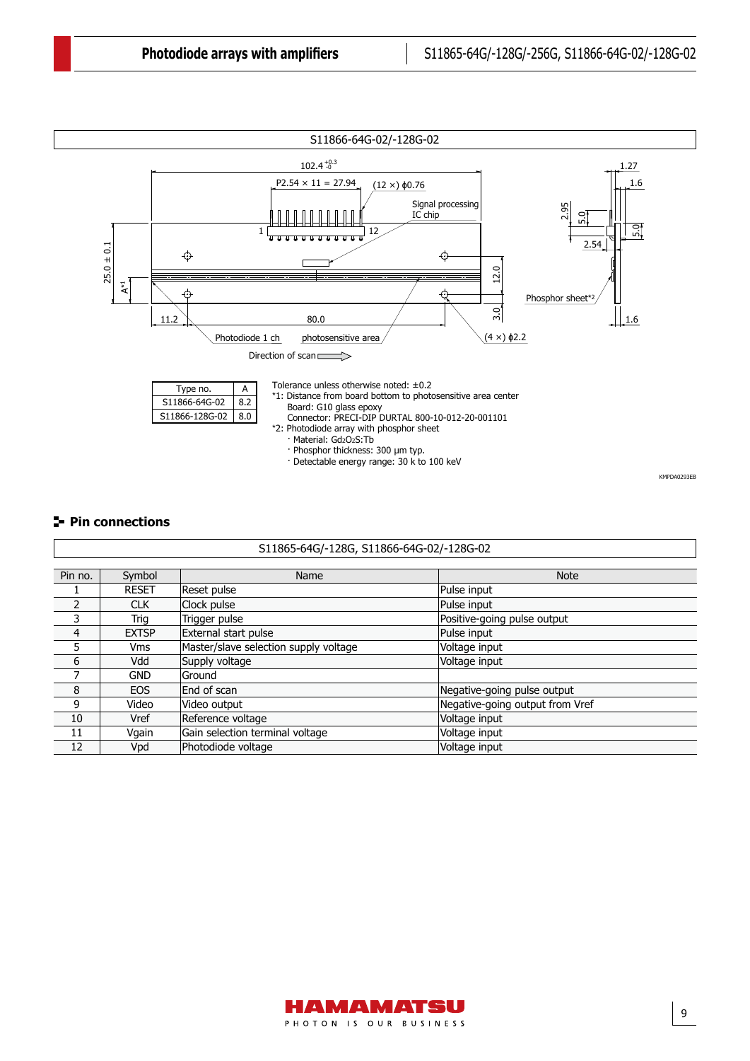

#### **Pin connections**

|                | S11865-64G/-128G, S11866-64G-02/-128G-02 |                                       |                                 |  |  |  |  |  |  |
|----------------|------------------------------------------|---------------------------------------|---------------------------------|--|--|--|--|--|--|
|                |                                          |                                       |                                 |  |  |  |  |  |  |
| Pin no.        | Symbol                                   | Name                                  | <b>Note</b>                     |  |  |  |  |  |  |
|                | <b>RESET</b>                             | Reset pulse                           | Pulse input                     |  |  |  |  |  |  |
| $\overline{2}$ | <b>CLK</b>                               | Clock pulse                           | Pulse input                     |  |  |  |  |  |  |
| 3              | Trig                                     | Trigger pulse                         | Positive-going pulse output     |  |  |  |  |  |  |
| 4              | <b>EXTSP</b>                             | External start pulse                  | Pulse input                     |  |  |  |  |  |  |
| 5              | <b>Vms</b>                               | Master/slave selection supply voltage | Voltage input                   |  |  |  |  |  |  |
| 6              | Vdd                                      | Supply voltage                        | Voltage input                   |  |  |  |  |  |  |
| 7              | <b>GND</b>                               | lGround                               |                                 |  |  |  |  |  |  |
| 8              | <b>EOS</b>                               | End of scan                           | Negative-going pulse output     |  |  |  |  |  |  |
| 9              | Video                                    | Video output                          | Negative-going output from Vref |  |  |  |  |  |  |
| 10             | Vref                                     | Reference voltage                     | Voltage input                   |  |  |  |  |  |  |
| 11             | Vgain                                    | Gain selection terminal voltage       | Voltage input                   |  |  |  |  |  |  |
| 12             | Vpd                                      | Photodiode voltage                    | Voltage input                   |  |  |  |  |  |  |

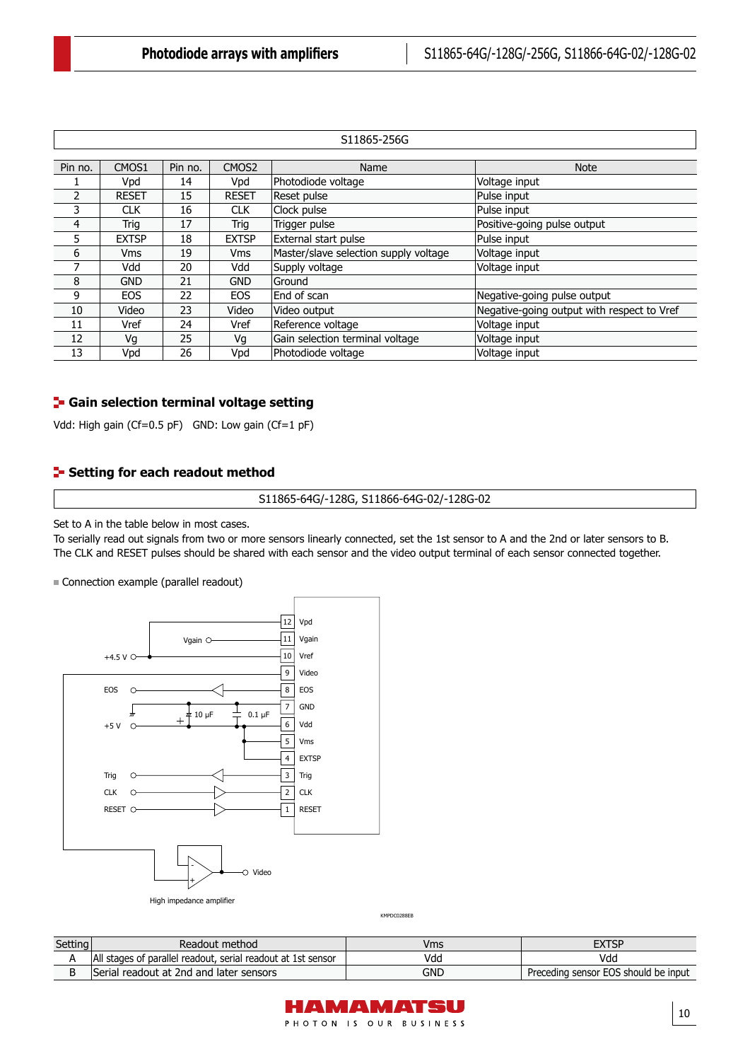|         | S11865-256G  |         |                   |                                       |                                            |  |  |  |
|---------|--------------|---------|-------------------|---------------------------------------|--------------------------------------------|--|--|--|
|         |              |         |                   |                                       |                                            |  |  |  |
| Pin no. | CMOS1        | Pin no. | CMOS <sub>2</sub> | Name                                  | <b>Note</b>                                |  |  |  |
|         | Vpd          | 14      | Vpd               | Photodiode voltage                    | Voltage input                              |  |  |  |
| 2       | <b>RESET</b> | 15      | <b>RESET</b>      | Reset pulse                           | Pulse input                                |  |  |  |
| 3       | <b>CLK</b>   | 16      | <b>CLK</b>        | Clock pulse                           | Pulse input                                |  |  |  |
| 4       | Trig         | 17      | Trig              | Trigger pulse                         | Positive-going pulse output                |  |  |  |
| 5       | <b>EXTSP</b> | 18      | <b>EXTSP</b>      | External start pulse                  | Pulse input                                |  |  |  |
| 6       | <b>Vms</b>   | 19      | <b>Vms</b>        | Master/slave selection supply voltage | Voltage input                              |  |  |  |
| 7       | Vdd          | 20      | Vdd               | Supply voltage                        | Voltage input                              |  |  |  |
| 8       | <b>GND</b>   | 21      | <b>GND</b>        | Ground                                |                                            |  |  |  |
| 9       | <b>EOS</b>   | 22      | <b>EOS</b>        | End of scan                           | Negative-going pulse output                |  |  |  |
| 10      | Video        | 23      | Video             | Video output                          | Negative-going output with respect to Vref |  |  |  |
| 11      | Vref         | 24      | Vref              | Reference voltage                     | Voltage input                              |  |  |  |
| 12      | Vq           | 25      | Vg                | Gain selection terminal voltage       | Voltage input                              |  |  |  |
| 13      | Vpd          | 26      | Vpd               | Photodiode voltage                    | Voltage input                              |  |  |  |

### **F** Gain selection terminal voltage setting

Vdd: High gain (Cf=0.5 pF) GND: Low gain (Cf=1 pF)

#### **Setting for each readout method**

S11865-64G/-128G, S11866-64G-02/-128G-02

Set to A in the table below in most cases.

Connection example

To serially read out signals from two or more sensors linearly connected, set the 1st sensor to A and the 2nd or later sensors to B. The CLK and RESET pulses should be shared with each sensor and the video output terminal of each sensor connected together.

Connection example (parallel readout)



KMPDC0288EB

| Setting<br>the property of the control of | Readout method                                               | Vms | $\mathsf{TXTSP}$                     |
|-------------------------------------------|--------------------------------------------------------------|-----|--------------------------------------|
|                                           | All stages of parallel readout, serial readout at 1st sensor | Vda | Vdd                                  |
|                                           | Serial readout at 2nd and later sensors                      | GND | Preceding sensor EOS should be input |

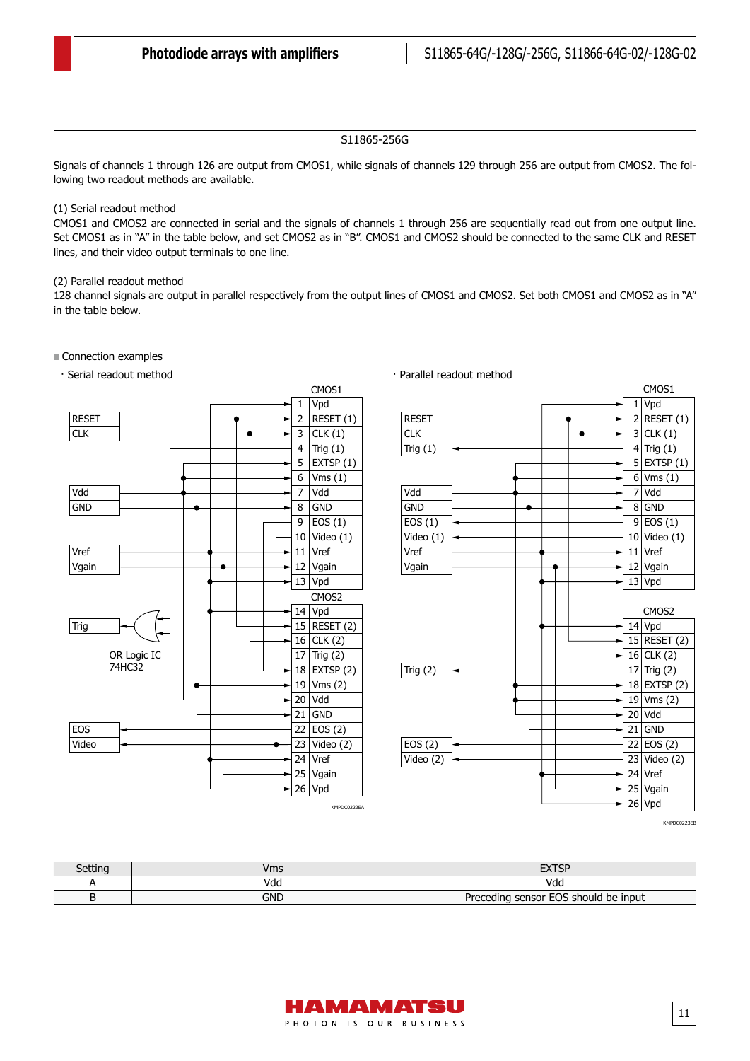#### S11865-256G

Signals of channels 1 through 126 are output from CMOS1, while signals of channels 129 through 256 are output from CMOS2. The following two readout methods are available.

#### (1) Serial readout method

CMOS1 and CMOS2 are connected in serial and the signals of channels 1 through 256 are sequentially read out from one output line. Set CMOS1 as in "A" in the table below, and set CMOS2 as in "B". CMOS1 and CMOS2 should be connected to the same CLK and RESET lines, and their video output terminals to one line.

#### (2) Parallel readout method

128 channel signals are output in parallel respectively from the output lines of CMOS1 and CMOS2. Set both CMOS1 and CMOS2 as in "A"<br>in the table below in the table below.

#### Connection examples



KMPDC0223EB

1 Vpd  $2$  RESET  $(1)$  $3$  CLK $(1)$  $4$  Trig  $(1)$ 

CMOS1

9 10 Video (1) 11 Vref 12 Vgain 13 Vpd

 $14$  Vpd 15 RESET (2) 16 CLK (2) 17 Trig  $(2)$ 18 EXTSP (2)  $19$  Vms (2) 20 Vdd 21 GND 22 EOS (2) 23 Video (2) 24 Vref 25 Vgain 26 Vpd

CMOS2

 $5$  EXTSP (1)  $6$  Vms  $(1)$ 7 Vdd 8 GND EOS (1)

| Setting | /ms | <b>CVTCD</b><br>ΞΛ.                  |
|---------|-----|--------------------------------------|
|         | vaa | Vda                                  |
|         | gnd | Preceding sensor EOS should be input |

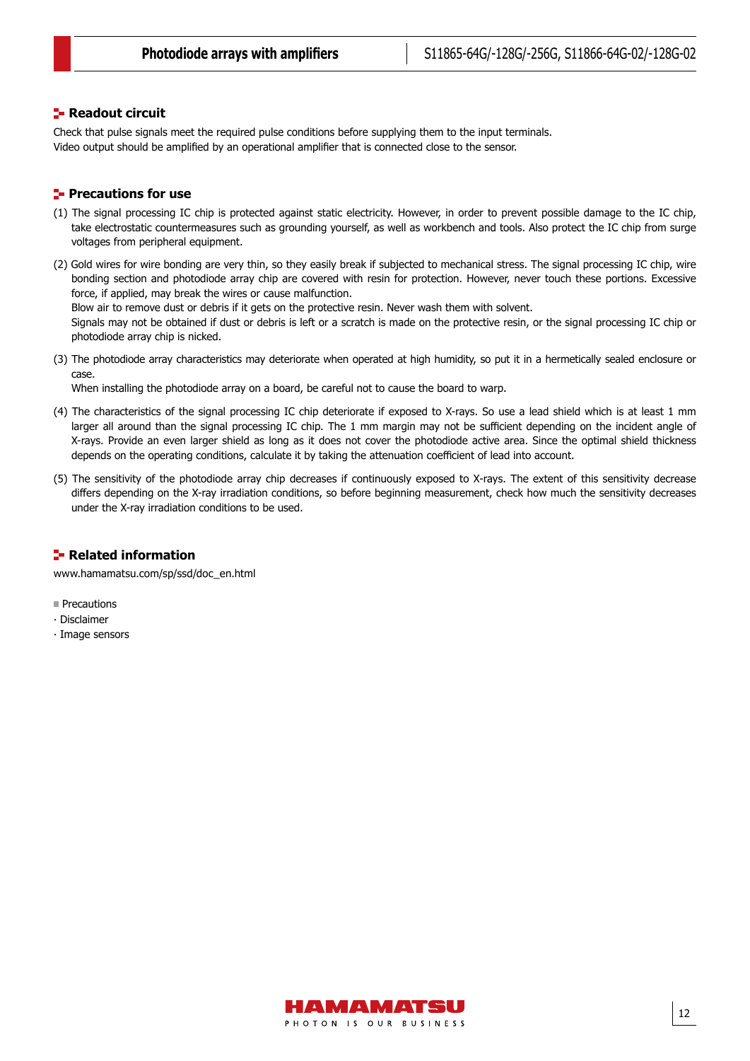#### **F** Readout circuit

Check that pulse signals meet the required pulse conditions before supplying them to the input terminals. Video output should be amplified by an operational amplifier that is connected close to the sensor.

#### **Precautions for use**

- (1) The signal processing IC chip is protected against static electricity. However, in order to prevent possible damage to the IC chip, take electrostatic countermeasures such as grounding yourself, as well as workbench and tools. Also protect the IC chip from surge voltages from peripheral equipment.
- (2) Gold wires for wire bonding are very thin, so they easily break if subjected to mechanical stress. The signal processing IC chip, wire bonding section and photodiode array chip are covered with resin for protection. However, never touch these portions. Excessive force, if applied, may break the wires or cause malfunction.

Blow air to remove dust or debris if it gets on the protective resin. Never wash them with solvent.

Signals may not be obtained if dust or debris is left or a scratch is made on the protective resin, or the signal processing IC chip or photodiode array chip is nicked.

(3) The photodiode array characteristics may deteriorate when operated at high humidity, so put it in a hermetically sealed enclosure or case.

When installing the photodiode array on a board, be careful not to cause the board to warp.

- (4) The characteristics of the signal processing IC chip deteriorate if exposed to X-rays. So use a lead shield which is at least 1 mm larger all around than the signal processing IC chip. The 1 mm margin may not be sufficient depending on the incident angle of X-rays. Provide an even larger shield as long as it does not cover the photodiode active area. Since the optimal shield thickness depends on the operating conditions, calculate it by taking the attenuation coefficient of lead into account.
- (5) The sensitivity of the photodiode array chip decreases if continuously exposed to X-rays. The extent of this sensitivity decrease differs depending on the X-ray irradiation conditions, so before beginning measurement, check how much the sensitivity decreases under the X-ray irradiation conditions to be used.

#### **Related information**

[www.hamamatsu.com/sp/ssd/doc\\_en.html](https://www.hamamatsu.com/sp/ssd/doc_en.html)

- **Precautions**
- ∙ Disclaimer
- ∙ Image sensors

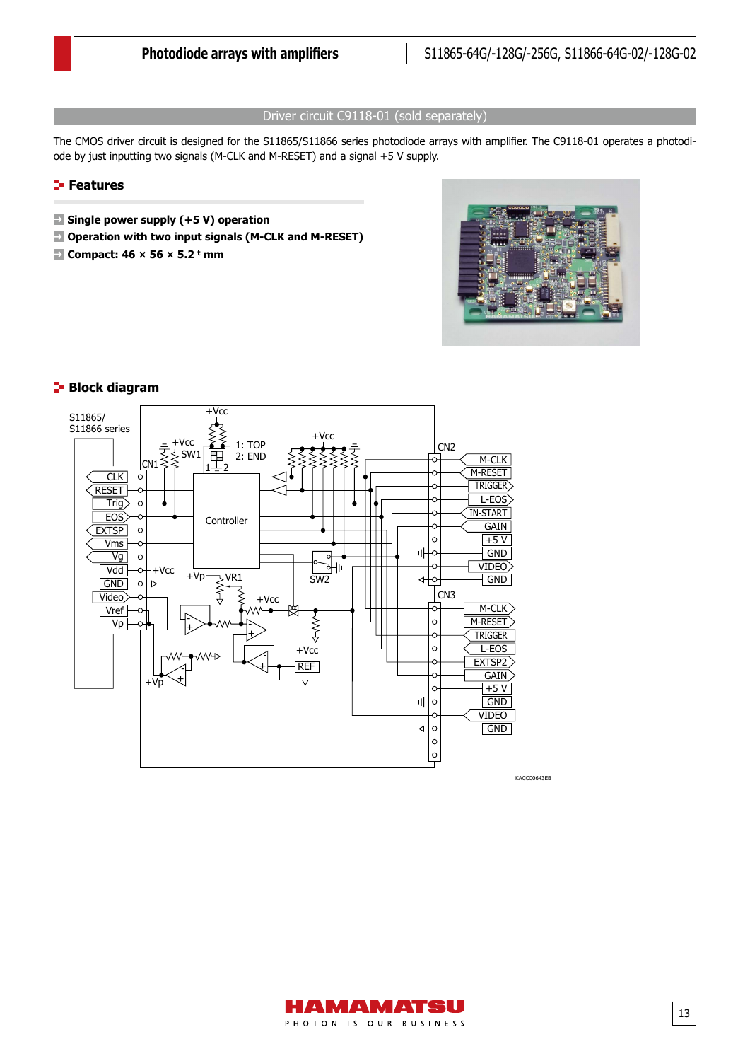#### Driver circuit C9118-01 (sold separately)

The CMOS driver circuit is designed for the S11865/S11866 series photodiode arrays with amplifier. The C9118-01 operates a photodiode by just inputting two signals (M-CLK and M-RESET) and a signal +5 V supply.

#### **Features**

- **Single power supply (+5 V) operation**
- **Operation with two input signals (M-CLK and M-RESET)**
- Block diagram **Compact: 46 × 56 × 5.2 t mm**





#### **Block diagram**